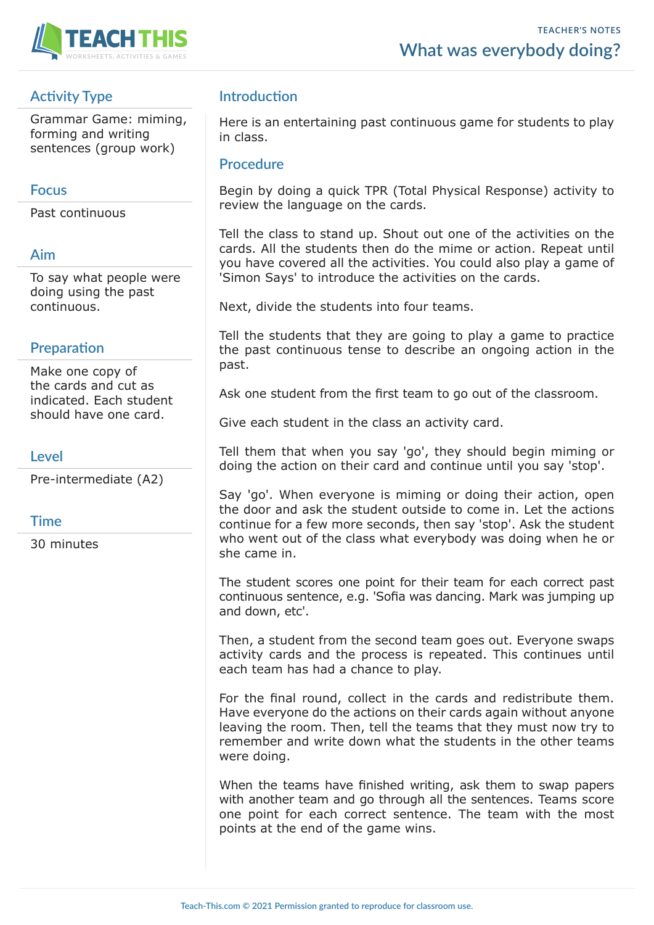

# **Activity Type**

Grammar Game: miming, forming and writing sentences (group work)

## **Focus**

Past continuous

## **Aim**

To say what people were doing using the past continuous.

## **Preparation**

Make one copy of the cards and cut as indicated. Each student should have one card.

### **Level**

Pre-intermediate (A2)

## **Time**

30 minutes

## **Introduction**

Here is an entertaining past continuous game for students to play in class.

#### **Procedure**

Begin by doing a quick TPR (Total Physical Response) activity to review the language on the cards.

Tell the class to stand up. Shout out one of the activities on the cards. All the students then do the mime or action. Repeat until you have covered all the activities. You could also play a game of 'Simon Says' to introduce the activities on the cards.

Next, divide the students into four teams.

Tell the students that they are going to play a game to practice the past continuous tense to describe an ongoing action in the past.

Ask one student from the first team to go out of the classroom.

Give each student in the class an activity card.

Tell them that when you say 'go', they should begin miming or doing the action on their card and continue until you say 'stop'.

Say 'go'. When everyone is miming or doing their action, open the door and ask the student outside to come in. Let the actions continue for a few more seconds, then say 'stop'. Ask the student who went out of the class what everybody was doing when he or she came in.

The student scores one point for their team for each correct past continuous sentence, e.g. 'Sofia was dancing. Mark was jumping up and down, etc'.

Then, a student from the second team goes out. Everyone swaps activity cards and the process is repeated. This continues until each team has had a chance to play.

For the final round, collect in the cards and redistribute them. Have everyone do the actions on their cards again without anyone leaving the room. Then, tell the teams that they must now try to remember and write down what the students in the other teams were doing.

When the teams have finished writing, ask them to swap papers with another team and go through all the sentences. Teams score one point for each correct sentence. The team with the most points at the end of the game wins.